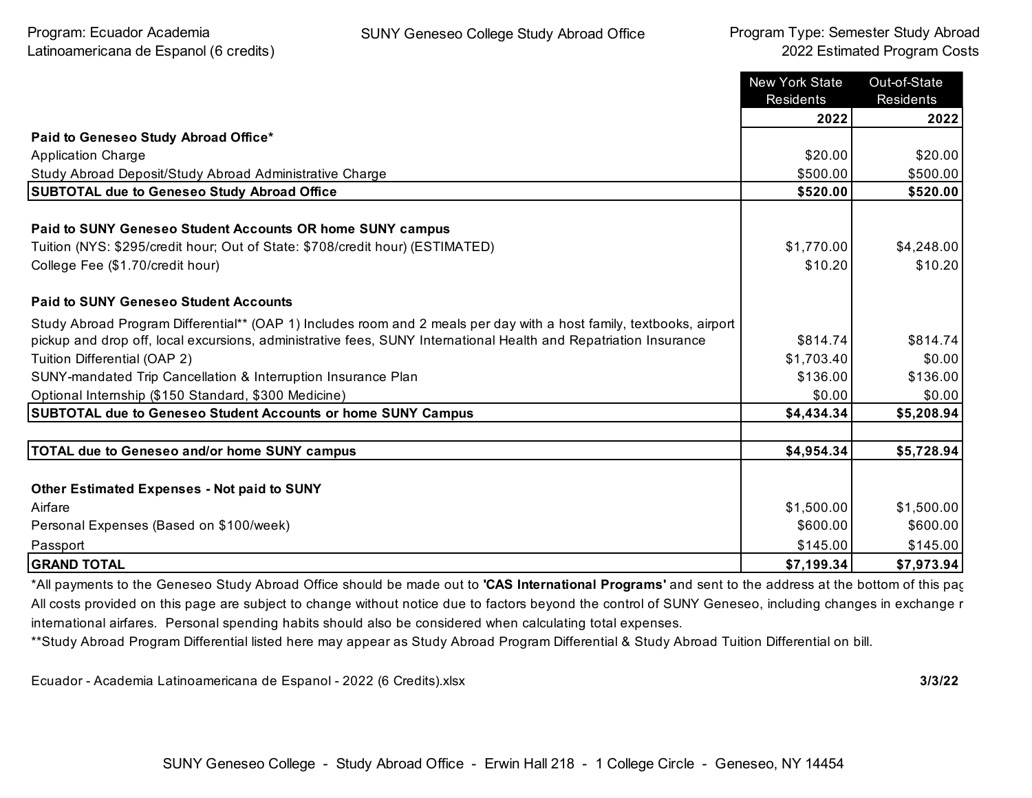|                                                                                                                      | <b>New York State</b><br><b>Residents</b> | Out-of-State<br>Residents |
|----------------------------------------------------------------------------------------------------------------------|-------------------------------------------|---------------------------|
|                                                                                                                      | 2022                                      | 2022                      |
| Paid to Geneseo Study Abroad Office*                                                                                 |                                           |                           |
| <b>Application Charge</b>                                                                                            | \$20.00                                   | \$20.00                   |
| Study Abroad Deposit/Study Abroad Administrative Charge                                                              | \$500.00                                  | \$500.00                  |
| <b>SUBTOTAL due to Geneseo Study Abroad Office</b>                                                                   | \$520.00                                  | \$520.00                  |
| Paid to SUNY Geneseo Student Accounts OR home SUNY campus                                                            |                                           |                           |
| Tuition (NYS: \$295/credit hour; Out of State: \$708/credit hour) (ESTIMATED)                                        | \$1,770.00                                | \$4,248.00                |
| College Fee (\$1.70/credit hour)                                                                                     | \$10.20                                   | \$10.20                   |
| <b>Paid to SUNY Geneseo Student Accounts</b>                                                                         |                                           |                           |
| Study Abroad Program Differential** (OAP 1) Includes room and 2 meals per day with a host family, textbooks, airport |                                           |                           |
| pickup and drop off, local excursions, administrative fees, SUNY International Health and Repatriation Insurance     | \$814.74                                  | \$814.74]                 |
| Tuition Differential (OAP 2)                                                                                         | \$1,703.40                                | \$0.00                    |
| SUNY-mandated Trip Cancellation & Interruption Insurance Plan                                                        | \$136.00                                  | \$136.00                  |
| Optional Internship (\$150 Standard, \$300 Medicine)                                                                 | \$0.00                                    | \$0.00                    |
| <b>SUBTOTAL due to Geneseo Student Accounts or home SUNY Campus</b>                                                  | \$4,434.34                                | \$5,208.94                |
|                                                                                                                      |                                           |                           |
| <b>TOTAL due to Geneseo and/or home SUNY campus</b>                                                                  | \$4,954.34                                | \$5,728.94                |
|                                                                                                                      |                                           |                           |
| <b>Other Estimated Expenses - Not paid to SUNY</b>                                                                   |                                           |                           |
| Airfare                                                                                                              | \$1,500.00                                | \$1,500.00                |
| Personal Expenses (Based on \$100/week)                                                                              | \$600.00                                  | \$600.00                  |
| Passport                                                                                                             | \$145.00                                  | \$145.00                  |
| <b>GRAND TOTAL</b>                                                                                                   | \$7,199.34                                | \$7,973.94                |

\*All payments to the Geneseo Study Abroad Office should be made out to **'CAS International Programs'** and sent to the address at the bottom of this page. All costs provided on this page are subject to change without notice due to factors beyond the control of SUNY Geneseo, including changes in exchange r international airfares. Personal spending habits should also be considered when calculating total expenses.

\*\*Study Abroad Program Differential listed here may appear as Study Abroad Program Differential & Study Abroad Tuition Differential on bill.

Ecuador - Academia Latinoamericana de Espanol - 2022 (6 Credits).xlsx **3/3/22**